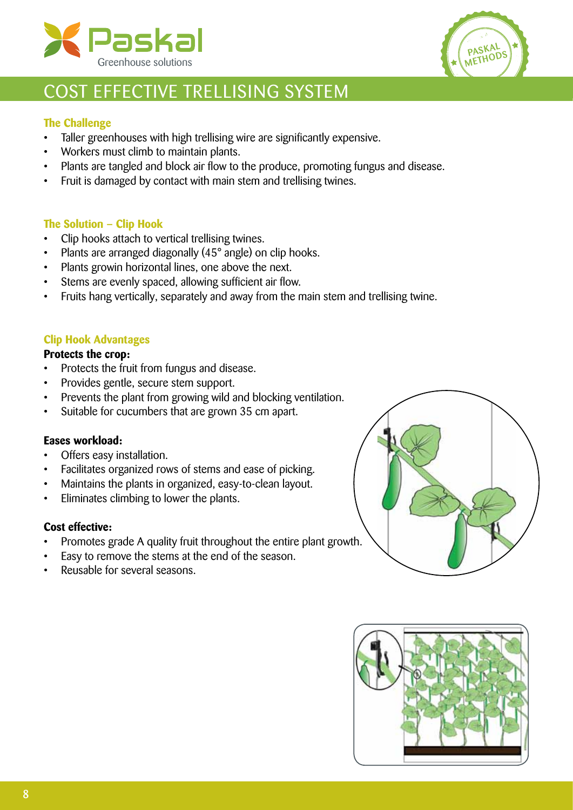



# Cost effective trellising system

### **The Challenge**

- Taller greenhouses with high trellising wire are significantly expensive.
- Workers must climb to maintain plants.
- Plants are tangled and block air flow to the produce, promoting fungus and disease.
- Fruit is damaged by contact with main stem and trellising twines.

### **The Solution – Clip Hook**

- • Clip hooks attach to vertical trellising twines.
- Plants are arranged diagonally (45° angle) on clip hooks.
- Plants growin horizontal lines, one above the next.
- Stems are evenly spaced, allowing sufficient air flow.
- Fruits hang vertically, separately and away from the main stem and trellising twine.

#### **Clip Hook Advantages**

## **Protects the crop:**

- • Protects the fruit from fungus and disease.
- • Provides gentle, secure stem support.
- Prevents the plant from growing wild and blocking ventilation.
- • Suitable for cucumbers that are grown 35 cm apart.

#### **Eases workload:**

- Offers easy installation.
- Facilitates organized rows of stems and ease of picking.
- Maintains the plants in organized, easy-to-clean layout.
- • Eliminates climbing to lower the plants.

### **Cost effective:**

- Promotes grade A quality fruit throughout the entire plant growth.
- Easy to remove the stems at the end of the season.
- Reusable for several seasons.